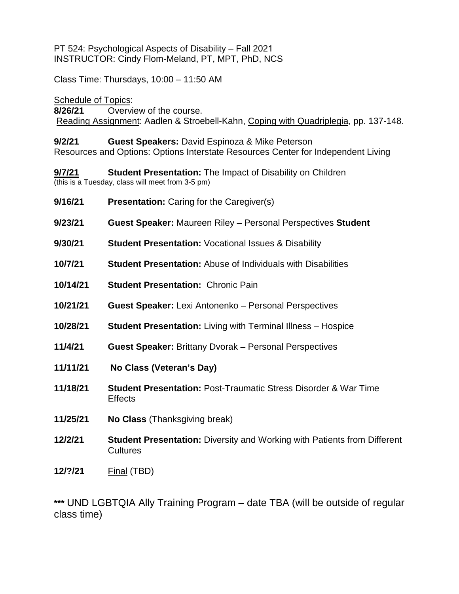PT 524: Psychological Aspects of Disability – Fall 2021 INSTRUCTOR: Cindy Flom-Meland, PT, MPT, PhD, NCS

Class Time: Thursdays, 10:00 – 11:50 AM

Schedule of Topics:

**8/26/21** Overview of the course. Reading Assignment: Aadlen & Stroebell-Kahn, Coping with Quadriplegia, pp. 137-148.

### **9/2/21 Guest Speakers:** David Espinoza & Mike Peterson

Resources and Options: Options Interstate Resources Center for Independent Living

**9/7/21 Student Presentation:** The Impact of Disability on Children (this is a Tuesday, class will meet from 3-5 pm)

- **9/16/21 Presentation:** Caring for the Caregiver(s)
- **9/23/21 Guest Speaker:** Maureen Riley Personal Perspectives **Student**
- **9/30/21 Student Presentation:** Vocational Issues & Disability
- **10/7/21 Student Presentation:** Abuse of Individuals with Disabilities
- **10/14/21 Student Presentation:** Chronic Pain
- **10/21/21 Guest Speaker:** Lexi Antonenko Personal Perspectives
- **10/28/21 Student Presentation:** Living with Terminal Illness Hospice
- **11/4/21 Guest Speaker:** Brittany Dvorak Personal Perspectives
- **11/11/21 No Class (Veteran's Day)**
- **11/18/21 Student Presentation:** Post-Traumatic Stress Disorder & War Time **Effects**
- **11/25/21 No Class** (Thanksgiving break)
- **12/2/21 Student Presentation:** Diversity and Working with Patients from Different **Cultures**
- **12/?/21** Final (TBD)

**\*\*\*** UND LGBTQIA Ally Training Program – date TBA (will be outside of regular class time)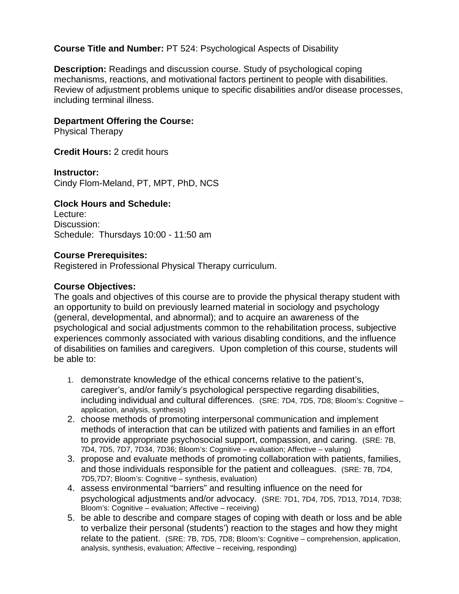## **Course Title and Number:** PT 524: Psychological Aspects of Disability

**Description:** Readings and discussion course. Study of psychological coping mechanisms, reactions, and motivational factors pertinent to people with disabilities. Review of adjustment problems unique to specific disabilities and/or disease processes, including terminal illness.

### **Department Offering the Course:**

Physical Therapy

**Credit Hours:** 2 credit hours

**Instructor:**

Cindy Flom-Meland, PT, MPT, PhD, NCS

### **Clock Hours and Schedule:**

Lecture: Discussion: Schedule: Thursdays 10:00 - 11:50 am

### **Course Prerequisites:**

Registered in Professional Physical Therapy curriculum.

### **Course Objectives:**

The goals and objectives of this course are to provide the physical therapy student with an opportunity to build on previously learned material in sociology and psychology (general, developmental, and abnormal); and to acquire an awareness of the psychological and social adjustments common to the rehabilitation process, subjective experiences commonly associated with various disabling conditions, and the influence of disabilities on families and caregivers. Upon completion of this course, students will be able to:

- 1. demonstrate knowledge of the ethical concerns relative to the patient's, caregiver's, and/or family's psychological perspective regarding disabilities, including individual and cultural differences. (SRE: 7D4, 7D5, 7D8; Bloom's: Cognitive – application, analysis, synthesis)
- 2. choose methods of promoting interpersonal communication and implement methods of interaction that can be utilized with patients and families in an effort to provide appropriate psychosocial support, compassion, and caring. (SRE: 7B, 7D4, 7D5, 7D7, 7D34, 7D36; Bloom's: Cognitive – evaluation; Affective – valuing)
- 3. propose and evaluate methods of promoting collaboration with patients, families, and those individuals responsible for the patient and colleagues. (SRE: 7B, 7D4, 7D5,7D7; Bloom's: Cognitive – synthesis, evaluation)
- 4. assess environmental "barriers" and resulting influence on the need for psychological adjustments and/or advocacy. (SRE: 7D1, 7D4, 7D5, 7D13, 7D14, 7D38; Bloom's: Cognitive – evaluation; Affective – receiving)
- 5. be able to describe and compare stages of coping with death or loss and be able to verbalize their personal (students') reaction to the stages and how they might relate to the patient. (SRE: 7B, 7D5, 7D8; Bloom's: Cognitive – comprehension, application, analysis, synthesis, evaluation; Affective – receiving, responding)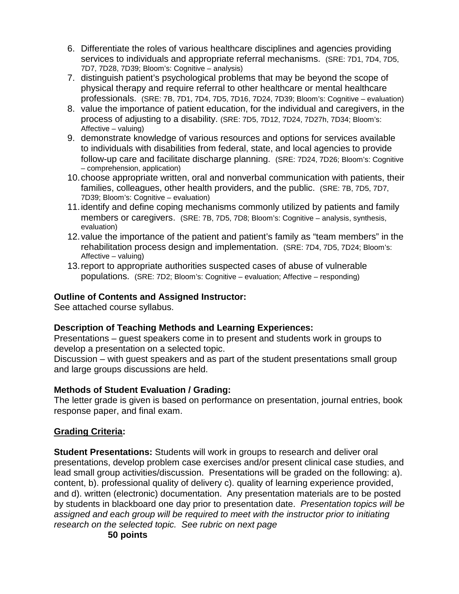- 6. Differentiate the roles of various healthcare disciplines and agencies providing services to individuals and appropriate referral mechanisms. (SRE: 7D1, 7D4, 7D5, 7D7, 7D28, 7D39; Bloom's: Cognitive – analysis)
- 7. distinguish patient's psychological problems that may be beyond the scope of physical therapy and require referral to other healthcare or mental healthcare professionals. (SRE: 7B, 7D1, 7D4, 7D5, 7D16, 7D24, 7D39; Bloom's: Cognitive – evaluation)
- 8. value the importance of patient education, for the individual and caregivers, in the process of adjusting to a disability. (SRE: 7D5, 7D12, 7D24, 7D27h, 7D34; Bloom's: Affective – valuing)
- 9. demonstrate knowledge of various resources and options for services available to individuals with disabilities from federal, state, and local agencies to provide follow-up care and facilitate discharge planning. (SRE: 7D24, 7D26; Bloom's: Cognitive – comprehension, application)
- 10.choose appropriate written, oral and nonverbal communication with patients, their families, colleagues, other health providers, and the public. (SRE: 7B, 7D5, 7D7, 7D39; Bloom's: Cognitive – evaluation)
- 11.identify and define coping mechanisms commonly utilized by patients and family members or caregivers. (SRE: 7B, 7D5, 7D8; Bloom's: Cognitive – analysis, synthesis, evaluation)
- 12.value the importance of the patient and patient's family as "team members" in the rehabilitation process design and implementation. (SRE: 7D4, 7D5, 7D24; Bloom's: Affective – valuing)
- 13.report to appropriate authorities suspected cases of abuse of vulnerable populations. (SRE: 7D2; Bloom's: Cognitive – evaluation; Affective – responding)

# **Outline of Contents and Assigned Instructor:**

See attached course syllabus.

# **Description of Teaching Methods and Learning Experiences:**

Presentations – guest speakers come in to present and students work in groups to develop a presentation on a selected topic.

Discussion – with guest speakers and as part of the student presentations small group and large groups discussions are held.

# **Methods of Student Evaluation / Grading:**

The letter grade is given is based on performance on presentation, journal entries, book response paper, and final exam.

# **Grading Criteria:**

**Student Presentations:** Students will work in groups to research and deliver oral presentations, develop problem case exercises and/or present clinical case studies, and lead small group activities/discussion. Presentations will be graded on the following: a). content, b). professional quality of delivery c). quality of learning experience provided, and d). written (electronic) documentation. Any presentation materials are to be posted by students in blackboard one day prior to presentation date. *Presentation topics will be assigned and each group will be required to meet with the instructor prior to initiating research on the selected topic. See rubric on next page*

**50 points**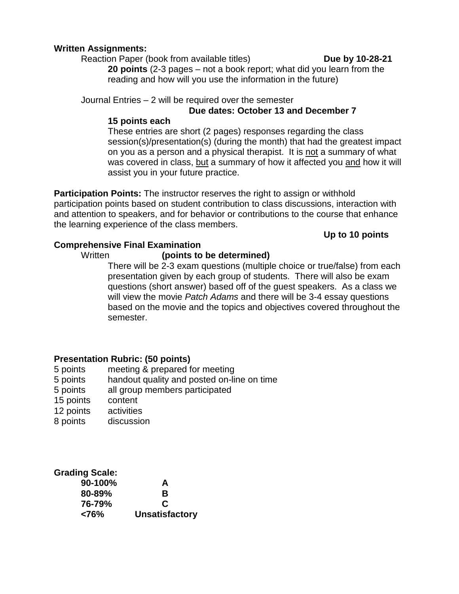## **Written Assignments:**

Reaction Paper (book from available titles) **Due by 10-28-21 20 points** (2-3 pages – not a book report; what did you learn from the reading and how will you use the information in the future)

Journal Entries – 2 will be required over the semester

## **Due dates: October 13 and December 7**

## **15 points each**

These entries are short (2 pages) responses regarding the class session(s)/presentation(s) (during the month) that had the greatest impact on you as a person and a physical therapist. It is not a summary of what was covered in class, but a summary of how it affected you and how it will assist you in your future practice.

**Participation Points:** The instructor reserves the right to assign or withhold participation points based on student contribution to class discussions, interaction with and attention to speakers, and for behavior or contributions to the course that enhance the learning experience of the class members.

## **Up to 10 points**

## **Comprehensive Final Examination**

## Written **(points to be determined)**

There will be 2-3 exam questions (multiple choice or true/false) from each presentation given by each group of students. There will also be exam questions (short answer) based off of the guest speakers. As a class we will view the movie *Patch Adams* and there will be 3-4 essay questions based on the movie and the topics and objectives covered throughout the semester.

## **Presentation Rubric: (50 points)**

- 5 points meeting & prepared for meeting
- 5 points handout quality and posted on-line on time
- 5 points all group members participated
- 15 points content
- 12 points activities
- 8 points discussion

#### **Grading Scale: 90-100% A**

| A                     |
|-----------------------|
| в                     |
| C                     |
| <b>Unsatisfactory</b> |
|                       |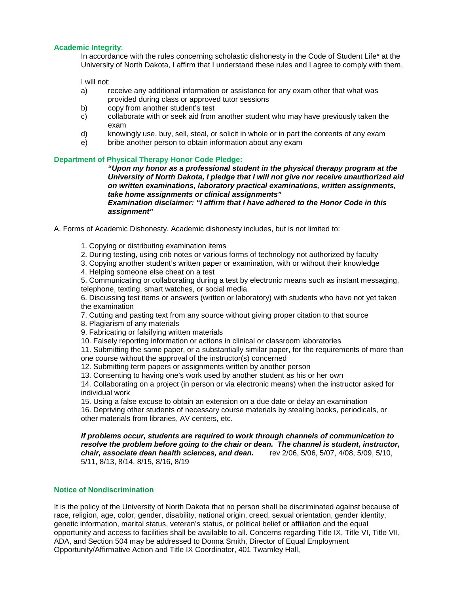#### **Academic Integrity**:

In accordance with the rules concerning scholastic dishonesty in the Code of Student Life\* at the University of North Dakota, I affirm that I understand these rules and I agree to comply with them.

I will not:

- a) receive any additional information or assistance for any exam other that what was provided during class or approved tutor sessions
- b) copy from another student's test
- c) collaborate with or seek aid from another student who may have previously taken the exam
- d) knowingly use, buy, sell, steal, or solicit in whole or in part the contents of any exam
- e) bribe another person to obtain information about any exam

#### **Department of Physical Therapy Honor Code Pledge:**

*"Upon my honor as a professional student in the physical therapy program at the University of North Dakota, I pledge that I will not give nor receive unauthorized aid on written examinations, laboratory practical examinations, written assignments, take home assignments or clinical assignments"* 

*Examination disclaimer: "I affirm that I have adhered to the Honor Code in this assignment"* 

A. Forms of Academic Dishonesty. Academic dishonesty includes, but is not limited to:

1. Copying or distributing examination items

2. During testing, using crib notes or various forms of technology not authorized by faculty

3. Copying another student's written paper or examination, with or without their knowledge

4. Helping someone else cheat on a test

5. Communicating or collaborating during a test by electronic means such as instant messaging, telephone, texting, smart watches, or social media.

6. Discussing test items or answers (written or laboratory) with students who have not yet taken the examination

7. Cutting and pasting text from any source without giving proper citation to that source

8. Plagiarism of any materials

9. Fabricating or falsifying written materials

10. Falsely reporting information or actions in clinical or classroom laboratories

11. Submitting the same paper, or a substantially similar paper, for the requirements of more than one course without the approval of the instructor(s) concerned

12. Submitting term papers or assignments written by another person

13. Consenting to having one's work used by another student as his or her own

14. Collaborating on a project (in person or via electronic means) when the instructor asked for individual work

15. Using a false excuse to obtain an extension on a due date or delay an examination 16. Depriving other students of necessary course materials by stealing books, periodicals, or other materials from libraries, AV centers, etc.

*If problems occur, students are required to work through channels of communication to resolve the problem before going to the chair or dean. The channel is student, instructor, chair, chair, chair, chair, associate dean health sciences, and dean.* 5/11, 8/13, 8/14, 8/15, 8/16, 8/19

#### **Notice of Nondiscrimination**

It is the policy of the University of North Dakota that no person shall be discriminated against because of race, religion, age, color, gender, disability, national origin, creed, sexual orientation, gender identity, genetic information, marital status, veteran's status, or political belief or affiliation and the equal opportunity and access to facilities shall be available to all. Concerns regarding Title IX, Title VI, Title VII, ADA, and Section 504 may be addressed to Donna Smith, Director of Equal Employment Opportunity/Affirmative Action and Title IX Coordinator, 401 Twamley Hall,